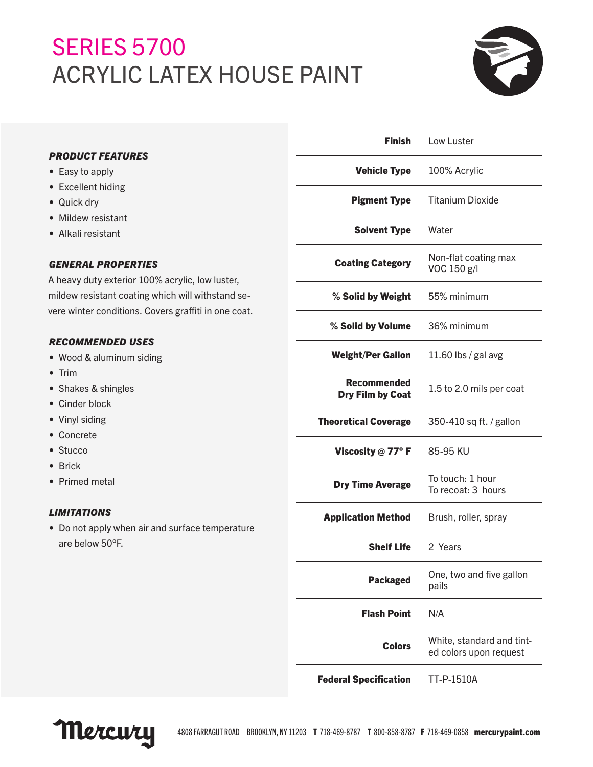# **SERIES 5700** ACRYLIC LATEX HOUSE PAINT



|                                                                                                                                                                                                                                                                                                                                                                                      | <b>Finish</b>                                 | Low Luster                                          |
|--------------------------------------------------------------------------------------------------------------------------------------------------------------------------------------------------------------------------------------------------------------------------------------------------------------------------------------------------------------------------------------|-----------------------------------------------|-----------------------------------------------------|
| <b>PRODUCT FEATURES</b><br>• Easy to apply                                                                                                                                                                                                                                                                                                                                           | <b>Vehicle Type</b>                           | 100% Acrylic                                        |
| • Excellent hiding<br>• Quick dry                                                                                                                                                                                                                                                                                                                                                    | <b>Pigment Type</b>                           | <b>Titanium Dioxide</b>                             |
| • Mildew resistant<br>• Alkali resistant                                                                                                                                                                                                                                                                                                                                             | <b>Solvent Type</b>                           | Water                                               |
| <b>GENERAL PROPERTIES</b><br>A heavy duty exterior 100% acrylic, low luster,<br>mildew resistant coating which will withstand se-<br>vere winter conditions. Covers graffiti in one coat.<br><b>RECOMMENDED USES</b><br>• Wood & aluminum siding<br>$\bullet$ Trim<br>• Shakes & shingles<br>• Cinder block<br>• Vinyl siding<br>• Concrete<br>• Stucco<br>• Brick<br>• Primed metal | <b>Coating Category</b>                       | Non-flat coating max<br>VOC 150 g/l                 |
|                                                                                                                                                                                                                                                                                                                                                                                      | % Solid by Weight                             | 55% minimum                                         |
|                                                                                                                                                                                                                                                                                                                                                                                      | % Solid by Volume                             | 36% minimum                                         |
|                                                                                                                                                                                                                                                                                                                                                                                      | <b>Weight/Per Gallon</b>                      | 11.60 lbs / gal avg                                 |
|                                                                                                                                                                                                                                                                                                                                                                                      | <b>Recommended</b><br><b>Dry Film by Coat</b> | 1.5 to 2.0 mils per coat                            |
|                                                                                                                                                                                                                                                                                                                                                                                      | <b>Theoretical Coverage</b>                   | 350-410 sq ft. / gallon                             |
|                                                                                                                                                                                                                                                                                                                                                                                      | Viscosity @ 77°F                              | 85-95 KU                                            |
|                                                                                                                                                                                                                                                                                                                                                                                      | <b>Dry Time Average</b>                       | To touch: 1 hour<br>To recoat: 3 hours              |
| <b>LIMITATIONS</b><br>• Do not apply when air and surface temperature<br>are below 50°F.                                                                                                                                                                                                                                                                                             | <b>Application Method</b>                     | Brush, roller, spray                                |
|                                                                                                                                                                                                                                                                                                                                                                                      | <b>Shelf Life</b>                             | 2 Years                                             |
|                                                                                                                                                                                                                                                                                                                                                                                      | <b>Packaged</b>                               | One, two and five gallon<br>pails                   |
|                                                                                                                                                                                                                                                                                                                                                                                      | <b>Flash Point</b>                            | N/A                                                 |
|                                                                                                                                                                                                                                                                                                                                                                                      | <b>Colors</b>                                 | White, standard and tint-<br>ed colors upon request |
|                                                                                                                                                                                                                                                                                                                                                                                      | <b>Federal Specification</b>                  | TT-P-1510A                                          |